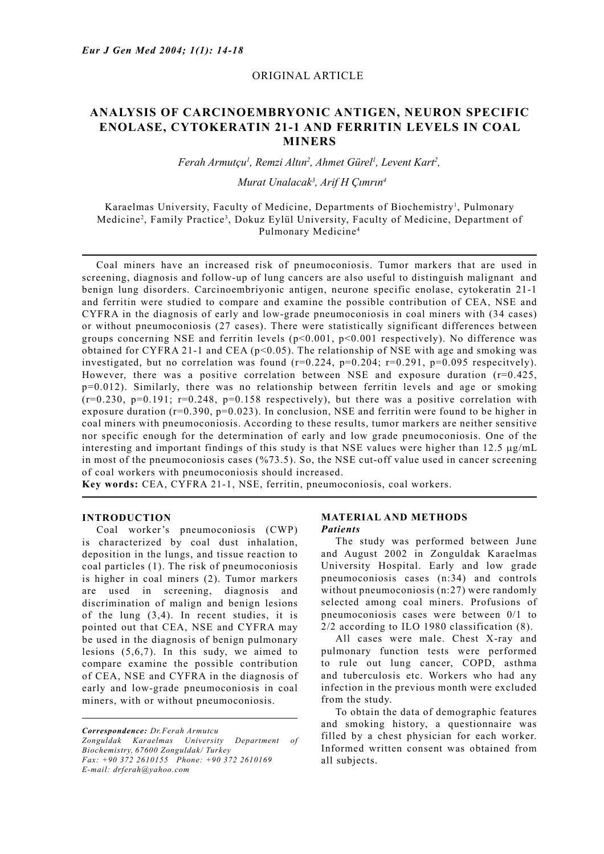## ORIGINAL ARTICLE

# **ANALYSIS OF CARCINOEMBRYONIC ANTIGEN, NEURON SPECIFIC ENOLASE, CYTOKERATIN 21-1 AND FERRITIN LEVELS IN COAL MINERS**

*Ferah Armutçu1 , Remzi Altın2 , Ahmet Gürel1 , Levent Kart2 ,* 

## *Murat Unalacak3 , Arif H Çımrın4*

Karaelmas University, Faculty of Medicine, Departments of Biochemistry<sup>1</sup>, Pulmonary Medicine<sup>2</sup>, Family Practice<sup>3</sup>, Dokuz Eylül University, Faculty of Medicine, Department of Pulmonary Medicine4

 Coal miners have an increased risk of pneumoconiosis. Tumor markers that are used in screening, diagnosis and follow-up of lung cancers are also useful to distinguish malignant and benign lung disorders. Carcinoembriyonic antigen, neurone specific enolase, cytokeratin 21-1 and ferritin were studied to compare and examine the possible contribution of CEA, NSE and CYFRA in the diagnosis of early and low-grade pneumoconiosis in coal miners with (34 cases) or without pneumoconiosis (27 cases). There were statistically significant differences between groups concerning NSE and ferritin levels  $(p<0.001, p<0.001$  respectively). No difference was obtained for CYFRA 21-1 and CEA ( $p$ <0.05). The relationship of NSE with age and smoking was investigated, but no correlation was found  $(r=0.224, p=0.204; r=0.291, p=0.095$  respecitvely). However, there was a positive correlation between NSE and exposure duration  $(r=0.425)$ , p=0.012). Similarly, there was no relationship between ferritin levels and age or smoking  $(r=0.230, p=0.191; r=0.248, p=0.158$  respectively), but there was a positive correlation with exposure duration (r=0.390, p=0.023). In conclusion, NSE and ferritin were found to be higher in coal miners with pneumoconiosis. According to these results, tumor markers are neither sensitive nor specific enough for the determination of early and low grade pneumoconiosis. One of the interesting and important findings of this study is that NSE values were higher than  $12.5 \mu g/mL$ in most of the pneumoconiosis cases (%73.5). So, the NSE cut-off value used in cancer screening of coal workers with pneumoconiosis should increased.

**Key words:** CEA, CYFRA 21-1, NSE, ferritin, pneumoconiosis, coal workers.

### **INTRODUCTION**

 Coal worker's pneumoconiosis (CWP) is characterized by coal dust inhalation, deposition in the lungs, and tissue reaction to coal particles (1). The risk of pneumoconiosis is higher in coal miners (2). Tumor markers are used in screening, diagnosis and discrimination of malign and benign lesions of the lung (3,4). In recent studies, it is pointed out that CEA, NSE and CYFRA may be used in the diagnosis of benign pulmonary lesions (5,6,7). In this sudy, we aimed to compare examine the possible contribution of CEA, NSE and CYFRA in the diagnosis of early and low-grade pneumoconiosis in coal miners, with or without pneumoconiosis.

*Correspondence: Dr.Ferah Armutcu Zonguldak Karaelmas University Department of Biochemistry, 67600 Zonguldak/ Turkey Fax: +90 372 2610155 Phone: +90 372 2610169 E-mail: drferah@yahoo.com*

#### **MATERIAL AND METHODS** *Patients*

 The study was performed between June and August 2002 in Zonguldak Karaelmas University Hospital. Early and low grade pneumoconiosis cases (n:34) and controls without pneumoconiosis (n:27) were randomly selected among coal miners. Profusions of pneumoconiosis cases were between 0/1 to 2/2 according to ILO 1980 classification (8).

 All cases were male. Chest X-ray and pulmonary function tests were performed to rule out lung cancer, COPD, asthma and tuberculosis etc. Workers who had any infection in the previous month were excluded from the study.

 To obtain the data of demographic features and smoking history, a questionnaire was filled by a chest physician for each worker. Informed written consent was obtained from all subjects.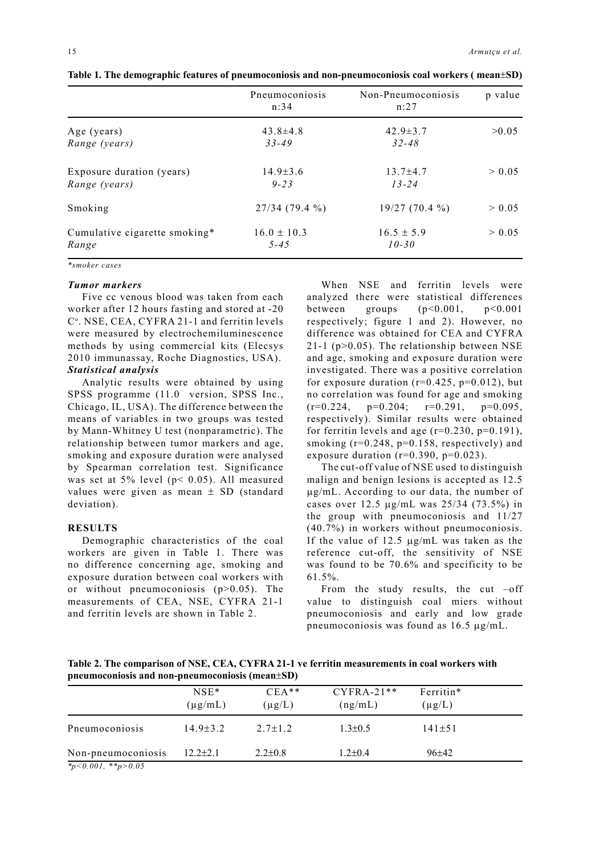|                               | Pneumoconiosis<br>n:34 | Non-Pneumoconiosis<br>n:27 | p value |
|-------------------------------|------------------------|----------------------------|---------|
| Age (years)                   | $43.8 \pm 4.8$         | $42.9 \pm 3.7$             | >0.05   |
| Range (years)                 | $33 - 49$              | $32 - 48$                  |         |
| Exposure duration (years)     | $14.9 \pm 3.6$         | $13.7 \pm 4.7$             | > 0.05  |
| Range (years)                 | $9 - 23$               | $13 - 24$                  |         |
| Smoking                       | $27/34(79.4\%)$        | $19/27(70.4\%)$            | > 0.05  |
| Cumulative cigarette smoking* | $16.0 \pm 10.3$        | $16.5 \pm 5.9$             | > 0.05  |
| Range                         | $5 - 45$               | $10 - 30$                  |         |

**Table 1. The demographic features of pneumoconiosis and non-pneumoconiosis coal workers ( mean**±**SD)**

*\*smoker cases*

#### *Tumor markers*

 Five cc venous blood was taken from each worker after 12 hours fasting and stored at -20 C<sup>o</sup>. NSE, CEA, CYFRA 21-1 and ferritin levels were measured by electrochemiluminescence methods by using commercial kits (Elecsys 2010 immunassay, Roche Diagnostics, USA). *Statistical analysis*

 Analytic results were obtained by using SPSS programme (11.0 version, SPSS Inc., Chicago, IL, USA). The difference between the means of variables in two groups was tested by Mann-Whitney U test (nonparametric). The relationship between tumor markers and age, smoking and exposure duration were analysed by Spearman correlation test. Significance was set at 5% level (p< 0.05). All measured values were given as mean  $\pm$  SD (standard deviation).

#### **RESULTS**

 Demographic characteristics of the coal workers are given in Table 1. There was no difference concerning age, smoking and exposure duration between coal workers with or without pneumoconiosis  $(p>0.05)$ . The measurements of CEA, NSE, CYFRA 21-1 and ferritin levels are shown in Table 2.

 When NSE and ferritin levels were analyzed there were statistical differences between groups  $(p<0.001, p<0.001$ respectively; figure 1 and 2). However, no difference was obtained for CEA and CYFRA 21-1 ( $p>0.05$ ). The relationship between NSE and age, smoking and exposure duration were investigated. There was a positive correlation for exposure duration ( $r=0.425$ ,  $p=0.012$ ), but no correlation was found for age and smoking  $(r=0.224, p=0.204; r=0.291, p=0.095,$ respectively). Similar results were obtained for ferritin levels and age  $(r=0.230, p=0.191)$ , smoking  $(r=0.248, p=0.158, respectively)$  and exposure duration ( $r=0.390$ ,  $p=0.023$ ).

 The cut-off value of NSE used to distinguish malign and benign lesions is accepted as 12.5 µg/mL. According to our data, the number of cases over 12.5 µg/mL was 25/34 (73.5%) in the group with pneumoconiosis and 11/27 (40.7%) in workers without pneumoconiosis. If the value of 12.5 µg/mL was taken as the reference cut-off, the sensitivity of NSE was found to be 70.6% and specificity to be 61.5%.

From the study results, the cut  $-off$ value to distinguish coal miers without pneumoconiosis and early and low grade pneumoconiosis was found as 16.5 µg/mL.

**Table 2. The comparison of NSE, CEA, CYFRA 21-1 ve ferritin measurements in coal workers with pneumoconiosis and non-pneumoconiosis (mean**±**SD)**

|                              | $NSE*$<br>$(\mu$ g/mL) | $CEA**$<br>$(\mu g/L)$ | $CYFRA-21**$<br>(ng/mL) | Ferritin*<br>$(\mu g/L)$ |  |
|------------------------------|------------------------|------------------------|-------------------------|--------------------------|--|
| Pneumoconiosis               | $14.9 \pm 3.2$         | $2.7 \pm 1.2$          | $1.3 \pm 0.5$           | $141 \pm 51$             |  |
| Non-pneumoconiosis           | $12.2 \pm 2.1$         | $2.2 \pm 0.8$          | $1.2 \pm 0.4$           | $96+42$                  |  |
| $*_{p<0.001}$ , $*_{p>0.05}$ |                        |                        |                         |                          |  |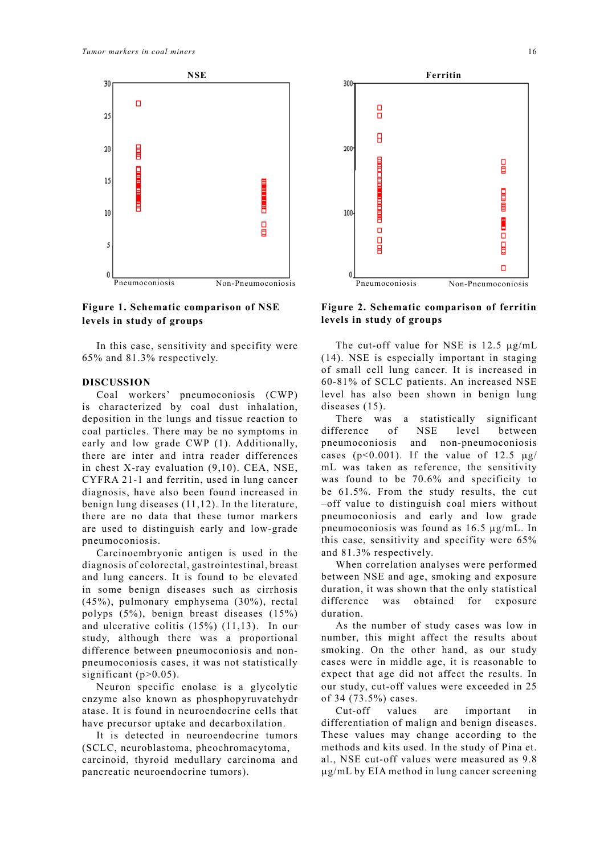

## **Figure 1. Schematic comparison of NSE levels in study of groups**

 In this case, sensitivity and specifity were 65% and 81.3% respectively.

## **DISCUSSION**

 Coal workers' pneumoconiosis (CWP) is characterized by coal dust inhalation, deposition in the lungs and tissue reaction to coal particles. There may be no symptoms in early and low grade CWP (1). Additionally, there are inter and intra reader differences in chest X-ray evaluation (9,10). CEA, NSE, CYFRA 21-1 and ferritin, used in lung cancer diagnosis, have also been found increased in benign lung diseases (11,12). In the literature, there are no data that these tumor markers are used to distinguish early and low-grade pneumoconiosis.

 Carcinoembryonic antigen is used in the diagnosis of colorectal, gastrointestinal, breast and lung cancers. It is found to be elevated in some benign diseases such as cirrhosis (45%), pulmonary emphysema (30%), rectal polyps (5%), benign breast diseases (15%) and ulcerative colitis (15%) (11,13). In our study, although there was a proportional difference between pneumoconiosis and nonpneumoconiosis cases, it was not statistically significant  $(p>0.05)$ .

 Neuron specific enolase is a glycolytic enzyme also known as phosphopyruvatehydr atase. It is found in neuroendocrine cells that have precursor uptake and decarboxilation.

 It is detected in neuroendocrine tumors (SCLC, neuroblastoma, pheochromacytoma, carcinoid, thyroid medullary carcinoma and pancreatic neuroendocrine tumors).



**Figure 2. Schematic comparison of ferritin levels in study of groups**

 The cut-off value for NSE is 12.5 µg/mL (14). NSE is especially important in staging of small cell lung cancer. It is increased in 60-81% of SCLC patients. An increased NSE level has also been shown in benign lung diseases (15).

 There was a statistically significant difference of NSE level between pneumoconiosis and non-pneumoconiosis cases ( $p<0.001$ ). If the value of 12.5  $\mu$ g/ mL was taken as reference, the sensitivity was found to be 70.6% and specificity to be 61.5%. From the study results, the cut –off value to distinguish coal miers without pneumoconiosis and early and low grade pneumoconiosis was found as 16.5 µg/mL. In this case, sensitivity and specifity were 65% and 81.3% respectively.

 When correlation analyses were performed between NSE and age, smoking and exposure duration, it was shown that the only statistical difference was obtained for exposure duration.

 As the number of study cases was low in number, this might affect the results about smoking. On the other hand, as our study cases were in middle age, it is reasonable to expect that age did not affect the results. In our study, cut-off values were exceeded in 25 of 34 (73.5%) cases.

 Cut-off values are important in differentiation of malign and benign diseases. These values may change according to the methods and kits used. In the study of Pina et. al., NSE cut-off values were measured as 9.8 µg/mL by EIA method in lung cancer screening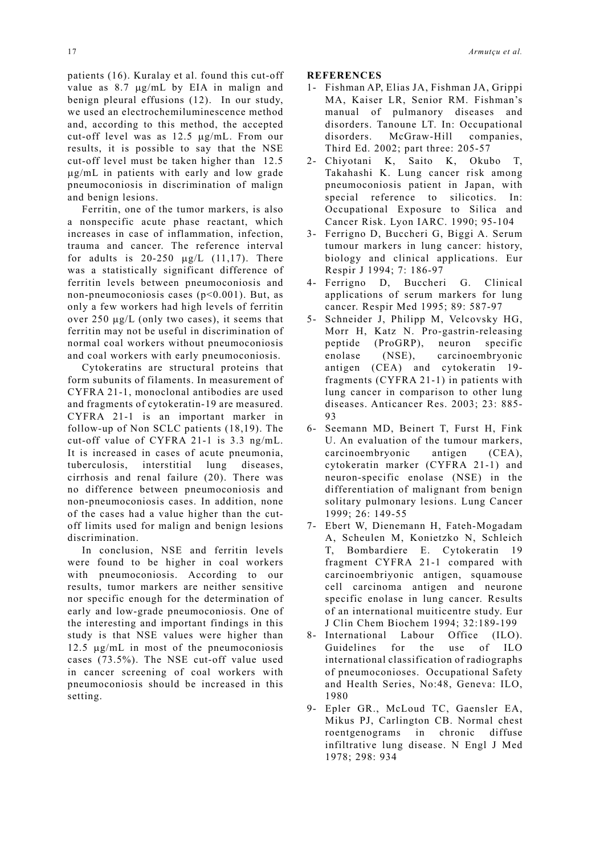patients (16). Kuralay et al. found this cut-off value as 8.7 µg/mL by EIA in malign and benign pleural effusions (12). In our study, we used an electrochemiluminescence method and, according to this method, the accepted cut-off level was as 12.5 µg/mL. From our results, it is possible to say that the NSE cut-off level must be taken higher than 12.5 µg/mL in patients with early and low grade pneumoconiosis in discrimination of malign and benign lesions.

 Ferritin, one of the tumor markers, is also a nonspecific acute phase reactant, which increases in case of inflammation, infection, trauma and cancer. The reference interval for adults is  $20-250 \mu g/L$  (11,17). There was a statistically significant difference of ferritin levels between pneumoconiosis and non-pneumoconiosis cases (p<0.001). But, as only a few workers had high levels of ferritin over 250 µg/L (only two cases), it seems that ferritin may not be useful in discrimination of normal coal workers without pneumoconiosis and coal workers with early pneumoconiosis.

 Cytokeratins are structural proteins that form subunits of filaments. In measurement of CYFRA 21-1, monoclonal antibodies are used and fragments of cytokeratin-19 are measured. CYFRA 21-1 is an important marker in follow-up of Non SCLC patients (18,19). The cut-off value of CYFRA 21-1 is 3.3 ng/mL. It is increased in cases of acute pneumonia, tuberculosis, interstitial lung diseases, cirrhosis and renal failure (20). There was no difference between pneumoconiosis and non-pneumoconiosis cases. In addition, none of the cases had a value higher than the cutoff limits used for malign and benign lesions discrimination.

 In conclusion, NSE and ferritin levels were found to be higher in coal workers with pneumoconiosis. According to our results, tumor markers are neither sensitive nor specific enough for the determination of early and low-grade pneumoconiosis. One of the interesting and important findings in this study is that NSE values were higher than 12.5 µg/mL in most of the pneumoconiosis cases (73.5%). The NSE cut-off value used in cancer screening of coal workers with pneumoconiosis should be increased in this setting.

**REFERENCES**

- 1- Fishman AP, Elias JA, Fishman JA, Grippi MA, Kaiser LR, Senior RM. Fishman's manual of pulmanory diseases and disorders. Tanoune LT. In: Occupational disorders. McGraw-Hill companies, Third Ed. 2002; part three: 205-57
- 2- Chiyotani K, Saito K, Okubo T, Takahashi K. Lung cancer risk among pneumoconiosis patient in Japan, with special reference to silicotics. In: Occupational Exposure to Silica and Cancer Risk. Lyon IARC. 1990; 95-104
- 3- Ferrigno D, Buccheri G, Biggi A. Serum tumour markers in lung cancer: history, biology and clinical applications. Eur Respir J 1994; 7: 186-97
- 4- Ferrigno D, Buccheri G. Clinical applications of serum markers for lung cancer. Respir Med 1995; 89: 587-97
- 5- Schneider J, Philipp M, Velcovsky HG, Morr H, Katz N. Pro-gastrin-releasing peptide (ProGRP), neuron specific enolase (NSE), carcinoembryonic antigen (CEA) and cytokeratin 19 fragments (CYFRA 21-1) in patients with lung cancer in comparison to other lung diseases. Anticancer Res. 2003; 23: 885- 93
- 6- Seemann MD, Beinert T, Furst H, Fink U. An evaluation of the tumour markers, carcinoembryonic antigen (CEA), cytokeratin marker (CYFRA 21-1) and neuron-specific enolase (NSE) in the differentiation of malignant from benign solitary pulmonary lesions. Lung Cancer 1999; 26: 149-55
- 7- Ebert W, Dienemann H, Fateh-Mogadam A, Scheulen M, Konietzko N, Schleich T, Bombardiere E. Cytokeratin 19 fragment CYFRA 21-1 compared with carcinoembriyonic antigen, squamouse cell carcinoma antigen and neurone specific enolase in lung cancer. Results of an international muiticentre study. Eur J Clin Chem Biochem 1994; 32:189-199
- 8- International Labour Office (ILO). Guidelines for the use of ILO international classification of radiographs of pneumoconioses. Occupational Safety and Health Series, No:48, Geneva: ILO, 1980
- 9- Epler GR., McLoud TC, Gaensler EA, Mikus PJ, Carlington CB. Normal chest roentgenograms in chronic diffuse infiltrative lung disease. N Engl J Med 1978; 298: 934